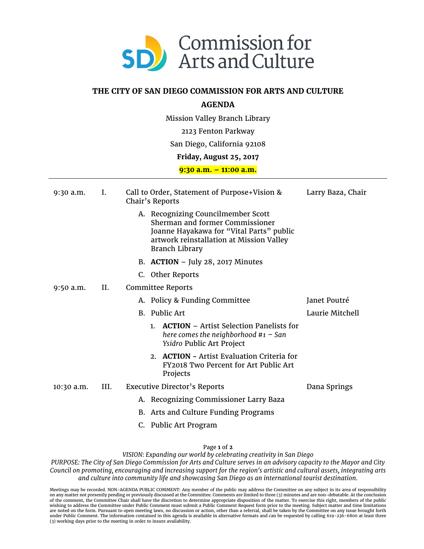

## **THE CITY OF SAN DIEGO COMMISSION FOR ARTS AND CULTURE**

## **AGENDA**

Mission Valley Branch Library

2123 Fenton Parkway

## San Diego, California 92108

## **Friday, August 25, 2017**

**9:30 a.m. – 11:00 a.m.**

| $9:30$ a.m. | Ι.   | Call to Order, Statement of Purpose+Vision &<br>Chair's Reports |                                                                                                                                                                                        | Larry Baza, Chair |
|-------------|------|-----------------------------------------------------------------|----------------------------------------------------------------------------------------------------------------------------------------------------------------------------------------|-------------------|
|             |      |                                                                 | A. Recognizing Councilmember Scott<br>Sherman and former Commissioner<br>Joanne Hayakawa for "Vital Parts" public<br>artwork reinstallation at Mission Valley<br><b>Branch Library</b> |                   |
|             |      |                                                                 | B. ACTION - July 28, 2017 Minutes                                                                                                                                                      |                   |
|             |      |                                                                 | C. Other Reports                                                                                                                                                                       |                   |
| $9:50$ a.m. | Н.   | Committee Reports                                               |                                                                                                                                                                                        |                   |
|             |      |                                                                 | A. Policy & Funding Committee                                                                                                                                                          | Janet Poutré      |
|             |      |                                                                 | B. Public Art                                                                                                                                                                          | Laurie Mitchell   |
|             |      |                                                                 | <b>ACTION</b> – Artist Selection Panelists for<br>1 <sup>1</sup><br>here comes the neighborhood $#1 - San$<br>Ysidro Public Art Project                                                |                   |
|             |      |                                                                 | 2. ACTION - Artist Evaluation Criteria for<br>FY2018 Two Percent for Art Public Art<br>Projects                                                                                        |                   |
| 10:30 a.m.  | III. | <b>Executive Director's Reports</b>                             |                                                                                                                                                                                        | Dana Springs      |
|             |      |                                                                 | A. Recognizing Commissioner Larry Baza                                                                                                                                                 |                   |
|             |      |                                                                 | B. Arts and Culture Funding Programs                                                                                                                                                   |                   |
|             |      |                                                                 | C. Public Art Program                                                                                                                                                                  |                   |

Page **1** of **2**

*VISION: Expanding our world by celebrating creativity in San Diego*

*PURPOSE: The City of San Diego Commission for Arts and Culture serves in an advisory capacity to the Mayor and City Council on promoting, encouraging and increasing support for the region's artistic and cultural assets, integrating arts and culture into community life and showcasing San Diego as an international tourist destination.*

Meetings may be recorded. NON-AGENDA PUBLIC COMMENT: Any member of the public may address the Committee on any subject in its area of responsibility<br>on any matter not presently pending or previously discussed at the Commit wishing to address the Committee under Public Comment must submit a Public Comment Request form prior to the meeting. Subject matter and time limitations are noted on the form. Pursuant to open meeting laws, no discussion or action, other than a referral, shall be taken by the Committee on any issue brought forth under Public Comment. The information contained in this agenda is available in alternative formats and can be requested by calling 619-236-6800 at least three (3) working days prior to the meeting in order to insure availability.